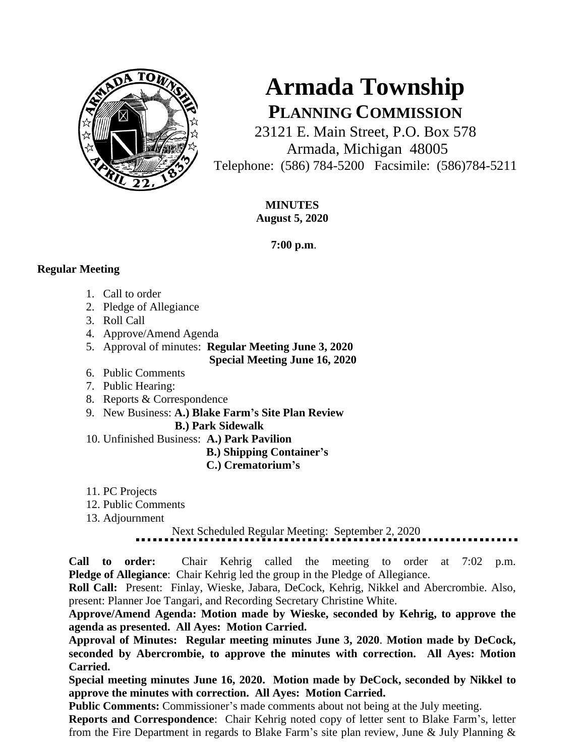

# **Armada Township PLANNING COMMISSION**

23121 E. Main Street, P.O. Box 578 Armada, Michigan 48005 Telephone: (586) 784-5200 Facsimile: (586)784-5211

> **MINUTES August 5, 2020**

> > **7:00 p.m**.

### **Regular Meeting**

- 1. Call to order
- 2. Pledge of Allegiance
- 3. Roll Call
- 4. Approve/Amend Agenda
- 5. Approval of minutes: **Regular Meeting June 3, 2020**
	- **Special Meeting June 16, 2020**
- 6. Public Comments
- 7. Public Hearing:
- 8. Reports & Correspondence
- 9. New Business: **A.) Blake Farm's Site Plan Review B.) Park Sidewalk**
- 10. Unfinished Business: **A.) Park Pavilion**

#### **B.) Shipping Container's C.) Crematorium's**

- 11. PC Projects
- 12. Public Comments
- 13. Adjournment

## Next Scheduled Regular Meeting: September 2, 2020

**Call to order:** Chair Kehrig called the meeting to order at 7:02 p.m. **Pledge of Allegiance**: Chair Kehrig led the group in the Pledge of Allegiance.

**Roll Call:** Present: Finlay, Wieske, Jabara, DeCock, Kehrig, Nikkel and Abercrombie. Also, present: Planner Joe Tangari, and Recording Secretary Christine White.

**Approve/Amend Agenda: Motion made by Wieske, seconded by Kehrig, to approve the agenda as presented. All Ayes: Motion Carried.**

**Approval of Minutes: Regular meeting minutes June 3, 2020**. **Motion made by DeCock, seconded by Abercrombie, to approve the minutes with correction. All Ayes: Motion Carried.** 

**Special meeting minutes June 16, 2020. Motion made by DeCock, seconded by Nikkel to approve the minutes with correction. All Ayes: Motion Carried.**

**Public Comments:** Commissioner's made comments about not being at the July meeting.

**Reports and Correspondence**: Chair Kehrig noted copy of letter sent to Blake Farm's, letter from the Fire Department in regards to Blake Farm's site plan review, June & July Planning &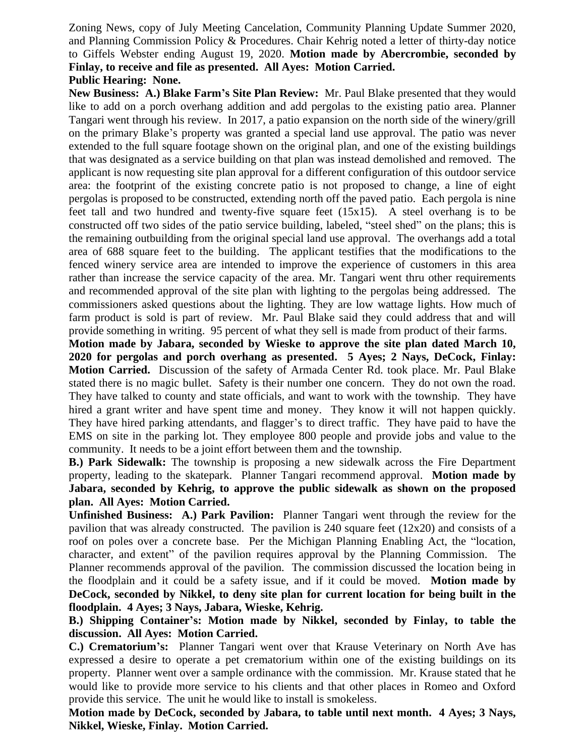Zoning News, copy of July Meeting Cancelation, Community Planning Update Summer 2020, and Planning Commission Policy & Procedures. Chair Kehrig noted a letter of thirty-day notice to Giffels Webster ending August 19, 2020. **Motion made by Abercrombie, seconded by Finlay, to receive and file as presented. All Ayes: Motion Carried.**

#### **Public Hearing: None.**

**New Business: A.) Blake Farm's Site Plan Review:** Mr. Paul Blake presented that they would like to add on a porch overhang addition and add pergolas to the existing patio area. Planner Tangari went through his review. In 2017, a patio expansion on the north side of the winery/grill on the primary Blake's property was granted a special land use approval. The patio was never extended to the full square footage shown on the original plan, and one of the existing buildings that was designated as a service building on that plan was instead demolished and removed. The applicant is now requesting site plan approval for a different configuration of this outdoor service area: the footprint of the existing concrete patio is not proposed to change, a line of eight pergolas is proposed to be constructed, extending north off the paved patio. Each pergola is nine feet tall and two hundred and twenty-five square feet (15x15). A steel overhang is to be constructed off two sides of the patio service building, labeled, "steel shed" on the plans; this is the remaining outbuilding from the original special land use approval. The overhangs add a total area of 688 square feet to the building. The applicant testifies that the modifications to the fenced winery service area are intended to improve the experience of customers in this area rather than increase the service capacity of the area. Mr. Tangari went thru other requirements and recommended approval of the site plan with lighting to the pergolas being addressed. The commissioners asked questions about the lighting. They are low wattage lights. How much of farm product is sold is part of review. Mr. Paul Blake said they could address that and will provide something in writing. 95 percent of what they sell is made from product of their farms.

**Motion made by Jabara, seconded by Wieske to approve the site plan dated March 10, 2020 for pergolas and porch overhang as presented. 5 Ayes; 2 Nays, DeCock, Finlay: Motion Carried.** Discussion of the safety of Armada Center Rd. took place. Mr. Paul Blake stated there is no magic bullet. Safety is their number one concern. They do not own the road. They have talked to county and state officials, and want to work with the township. They have hired a grant writer and have spent time and money. They know it will not happen quickly. They have hired parking attendants, and flagger's to direct traffic. They have paid to have the EMS on site in the parking lot. They employee 800 people and provide jobs and value to the community. It needs to be a joint effort between them and the township.

**B.) Park Sidewalk:** The township is proposing a new sidewalk across the Fire Department property, leading to the skatepark. Planner Tangari recommend approval. **Motion made by Jabara, seconded by Kehrig, to approve the public sidewalk as shown on the proposed plan. All Ayes: Motion Carried.**

**Unfinished Business: A.) Park Pavilion:** Planner Tangari went through the review for the pavilion that was already constructed. The pavilion is 240 square feet (12x20) and consists of a roof on poles over a concrete base. Per the Michigan Planning Enabling Act, the "location, character, and extent" of the pavilion requires approval by the Planning Commission. The Planner recommends approval of the pavilion. The commission discussed the location being in the floodplain and it could be a safety issue, and if it could be moved. **Motion made by DeCock, seconded by Nikkel, to deny site plan for current location for being built in the floodplain. 4 Ayes; 3 Nays, Jabara, Wieske, Kehrig.** 

**B.) Shipping Container's: Motion made by Nikkel, seconded by Finlay, to table the discussion. All Ayes: Motion Carried.** 

**C.) Crematorium's:** Planner Tangari went over that Krause Veterinary on North Ave has expressed a desire to operate a pet crematorium within one of the existing buildings on its property. Planner went over a sample ordinance with the commission. Mr. Krause stated that he would like to provide more service to his clients and that other places in Romeo and Oxford provide this service. The unit he would like to install is smokeless.

**Motion made by DeCock, seconded by Jabara, to table until next month. 4 Ayes; 3 Nays, Nikkel, Wieske, Finlay. Motion Carried.**